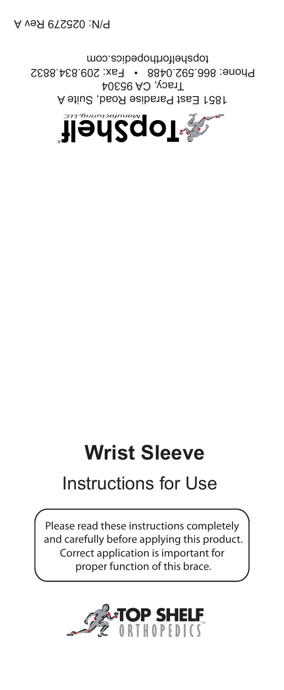

 $T$ racy, CA 95304 Phone: 866.592.0488 • Fax: 209.834.8832 topshelforthopedics.com

## **Wrist Sleeve**

## Instructions for Use

Please read these instructions completely and carefully before applying this product. Correct application is important for proper function of this brace.



P/N: 025279 Rev A